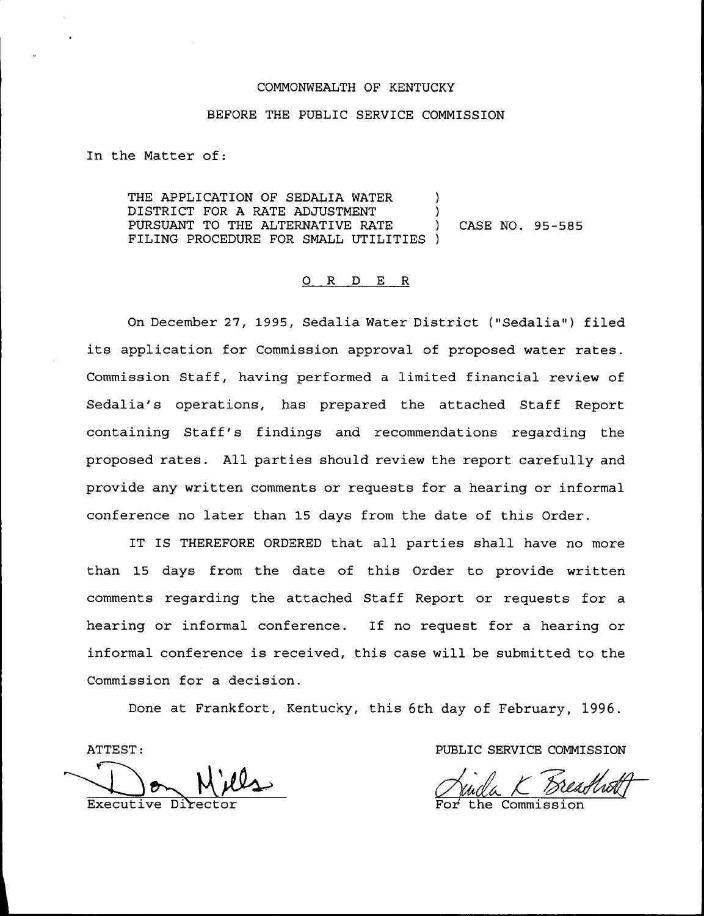#### COMMONWEALTH OF KENTUCKY

#### BEFORE THE PUBLIC SERVICE COMMISSION

In the Matter of:

THE APPLICATION OF SEDALIA WATER  $\qquad$  ) DISTRICT FOR A RATE ADJUSTMENT PURSUANT TO THE ALTERNATIVE RATE ) CASE NO. 95-585 FILING PROCEDURE FOR SMALL UTILITIES )

## 0 R <sup>D</sup> E R

On December 27, 1995, Sedalia Water District ("Sedalia") filed its application for Commission approval of proposed water rates. Commission Staff, having performed a limited financial review of Sedalia's operations, has prepared the attached Staff Report containing Staff's findings and recommendations regarding the proposed rates. All parties should review the report carefully and provide any written comments or requests for a hearing or informal conference no later than 15 days from the date of this Order.

IT IS THEREFORE ORDERED that all parties shall have no more than 15 days from the date of this Order to provide written comments regarding the attached Staff Report or requests for a hearing or informal conference. If no request for a hearing or informal conference is received, this case will be submitted to the Commission for a decision.

Done at Frankfort, Kentucky, this 6th day of February, 1996.

ATTEST

Executive

PUBLIC SERVICE COMMISSION

the Commission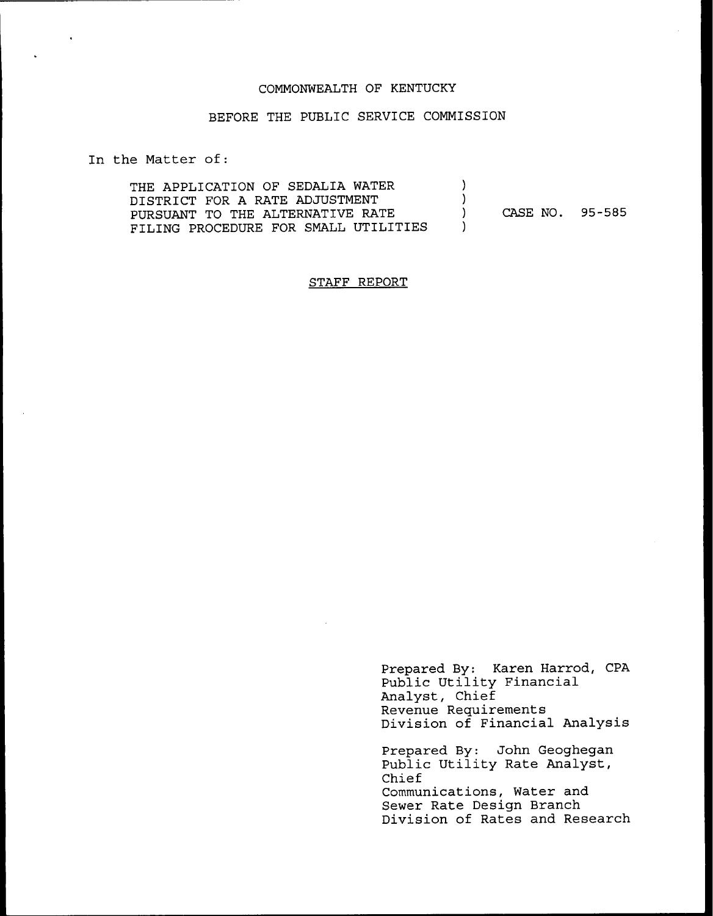#### COMMONWEALTH OF KENTUCKY

## BEFORE THE PUBLIC SERVICE COMMISSION

In the Matter of:

 $\bullet$ 

| THE APPLICATION OF SEDALIA WATER     |                 |  |
|--------------------------------------|-----------------|--|
| DISTRICT FOR A RATE ADJUSTMENT       |                 |  |
| PURSUANT TO THE ALTERNATIVE RATE     | CASE NO. 95-585 |  |
| FILING PROCEDURE FOR SMALL UTILITIES |                 |  |

### STAFF REPORT

Prepared By: Karen Harrod, CPA Public Utility Financial Analyst, Chief Revenue Requirements Division of Financial Analysis

Prepared By: John Geoghegan Public Utility Rate Analyst, Chief Communications, Water and Sewer Rate Design Branch Division of Rates and Research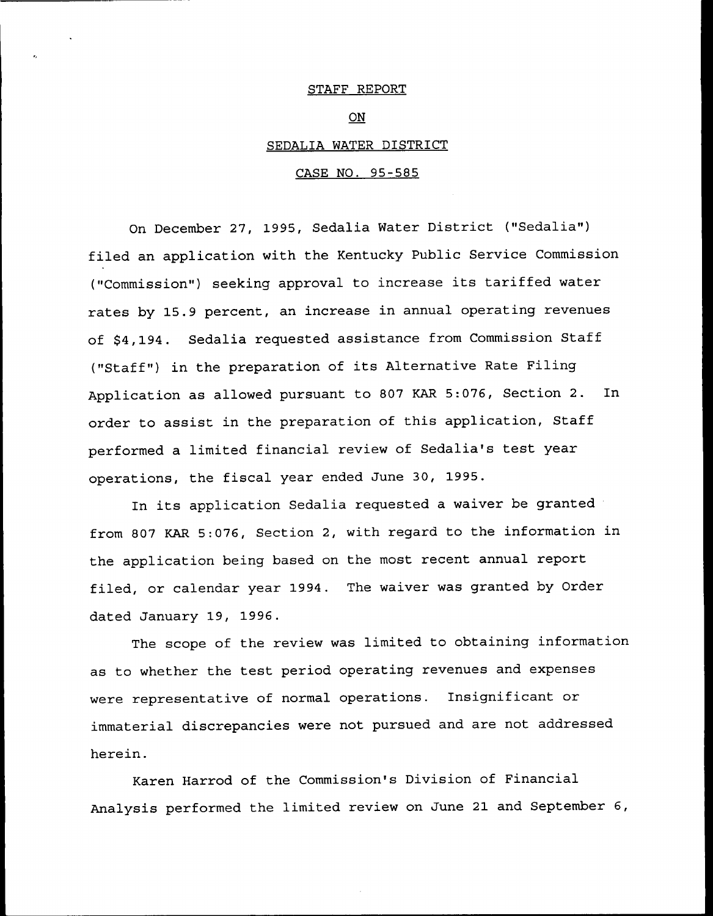#### STAFF REPORT

## $O_{N}$

### SEDALIA WATER DISTRICT

### CASE NO. 95-585

On December 27, 1995, Sedalia Water District ("Sedalia") filed an application with the Kentucky Public Service Commission ("Commission") seeking approval to increase its tariffed water rates by 15.9 percent, an increase in annual operating revenues of \$4,194. Sedalia requested assistance from Commission Staff ("Staff") in the preparation of its Alternative Rate Filing Application as allowed pursuant to <sup>807</sup> KAR 5:076, Section 2. In order to assist in the preparation of this application, Staff performed a limited financial review of Sedalia's test year operations, the fiscal year ended June 30, 1995.

In its application Sedalia requested a waiver be granted from 807 KAR 5:076, Section 2, with regard to the information in the application being based on the most recent annual report filed, or calendar year 1994. The waiver was granted by Order dated January 19, 1996.

The scope of the review was limited to obtaining information as to whether the test period operating revenues and expenses were representative of normal operations. Insignificant or immaterial discrepancies were not pursued and are not addressed herein.

Karen Harrod of the Commission's Division of Financial Analysis performed the limited review on June 21 and September 6,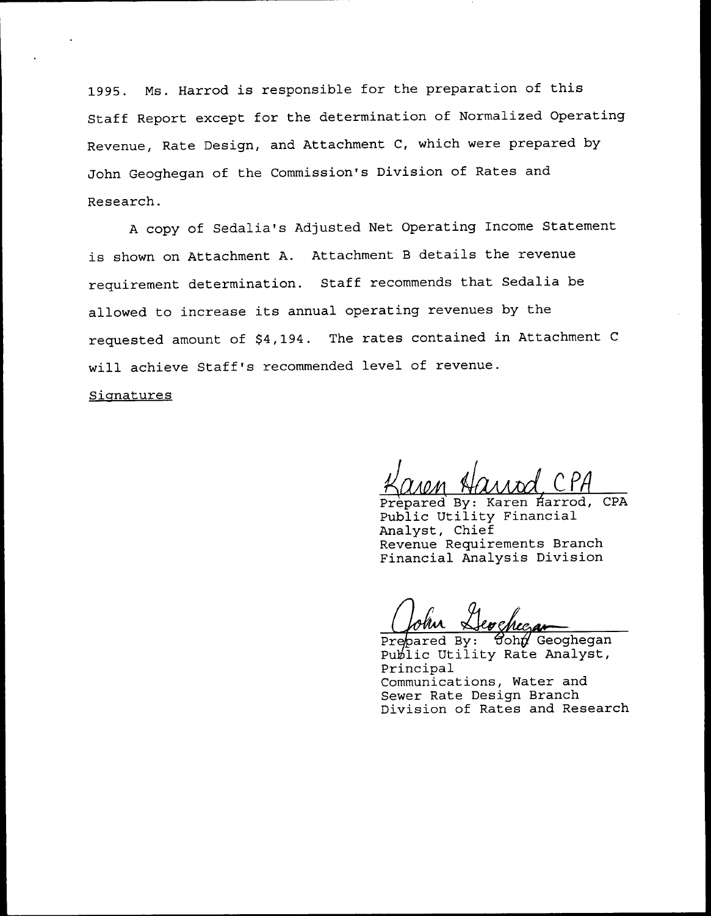1995. Ms. Harrod is responsible for the preparation of this Staff Report except for the determination of Normalized Operating Revenue, Rate Design, and Attachment C, which were prepared by John Geoghegan of the Commission's Division of Rates and Research.

<sup>A</sup> copy of Sedalia's Adjusted Net Operating Income Statement is shown on Attachment A. Attachment <sup>B</sup> details the revenue requirement determination. Staff recommends that Sedalia be allowed to increase its annual operating revenues by the requested amount of \$4,194. The rates contained in Attachment <sup>C</sup> will achieve Staff's recommended level of revenue.

Signatures

Prepared By: Karen Harrod, CPA Public Utility Financial Analyst, Chief Revenue Requirements Branch Financial Analysis Division

Prepared By:  $\theta$ ohn Geoghegan Public Utility Rate Analyst, Principal Communications, Water and Sewer Rate Design Branch Division of Rates and Research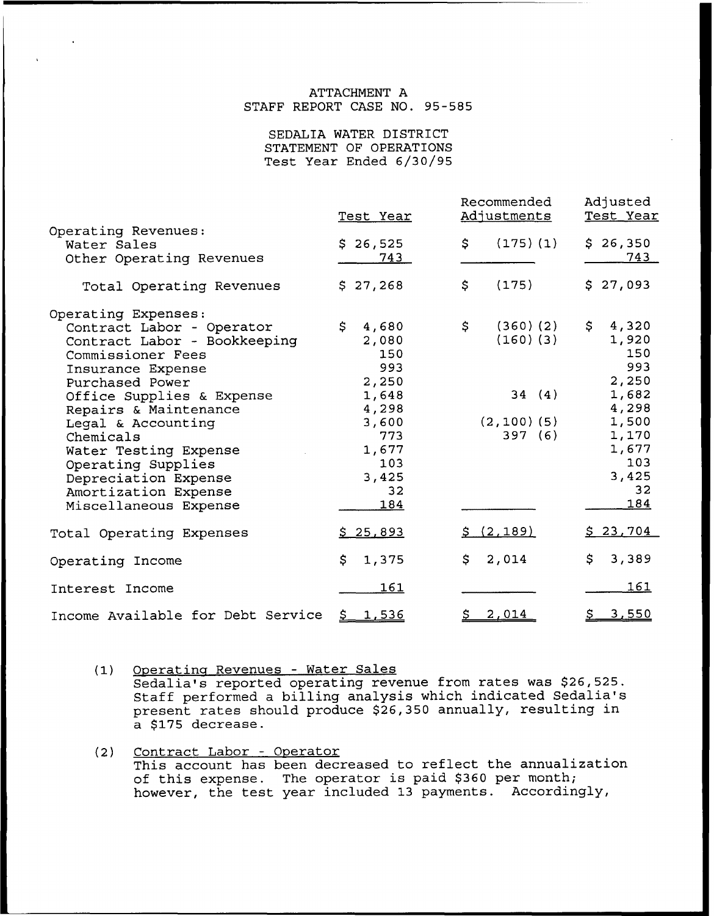## ATTACHMENT A STAFF REPORT CASE NO. 95-585

SEDALIA WATER DISTRICT STATEMENT OF OPERATIONS Test Year Ended 6/30/95

|                                                                                                                                                                                                                                                                                                                                       | Test Year                                                                                                              | Recommended<br>Adjustments                                           | Adjusted<br>Test Year<br>\$26,350<br>743                                                                       |  |
|---------------------------------------------------------------------------------------------------------------------------------------------------------------------------------------------------------------------------------------------------------------------------------------------------------------------------------------|------------------------------------------------------------------------------------------------------------------------|----------------------------------------------------------------------|----------------------------------------------------------------------------------------------------------------|--|
| Operating Revenues:<br>Water Sales<br>Other Operating Revenues                                                                                                                                                                                                                                                                        | \$26,525<br>743                                                                                                        | (175)(1)<br>\$                                                       |                                                                                                                |  |
| Total Operating Revenues                                                                                                                                                                                                                                                                                                              | \$27,268                                                                                                               | (175)<br>\$                                                          | \$27,093                                                                                                       |  |
| Operating Expenses:<br>Contract Labor - Operator<br>Contract Labor - Bookkeeping<br>Commissioner Fees<br>Insurance Expense<br>Purchased Power<br>Office Supplies & Expense<br>Repairs & Maintenance<br>Legal & Accounting<br>Chemicals<br>Water Testing Expense<br>Operating Supplies<br>Depreciation Expense<br>Amortization Expense | $\mathsf{S}$<br>4,680<br>2,080<br>150<br>993<br>2,250<br>1,648<br>4,298<br>3,600<br>773<br>1,677<br>103<br>3,425<br>32 | \$<br>$(360)$ $(2)$<br>(160)(3)<br>34(4)<br>$(2, 100)$ (5)<br>397(6) | \$<br>4,320<br>1,920<br>150<br>993<br>2,250<br>1,682<br>4,298<br>1,500<br>1,170<br>1,677<br>103<br>3,425<br>32 |  |
| Miscellaneous Expense                                                                                                                                                                                                                                                                                                                 | 184<br>\$25,893                                                                                                        | <u>\$(2,189)</u>                                                     | 184<br>\$23,704                                                                                                |  |
| Total Operating Expenses<br>Operating Income                                                                                                                                                                                                                                                                                          | \$.<br>1,375                                                                                                           | \$.<br>2,014                                                         | \$.<br>3,389                                                                                                   |  |
| Interest Income                                                                                                                                                                                                                                                                                                                       | <u> 161</u>                                                                                                            |                                                                      | 161                                                                                                            |  |
| Income Available for Debt Service                                                                                                                                                                                                                                                                                                     | \$ 1,536                                                                                                               | 2,014                                                                | <u>\$3,550</u>                                                                                                 |  |

(1) Operating Revenues - Water Sales Sedalia's reported operating revenue from rates was \$26,525. Staff performed a billing analysis which indicated Sedalia's present rates should produce \$26,350 annually, resulting in a \$175 decrease.

(2) Contract Labor - Operato <u>Concrace Babor - operacor</u><br>This account has been decreased to reflect the annualizati of this expense. The operator is paid \$360 per month or chip expense: The operator is para feed por menter,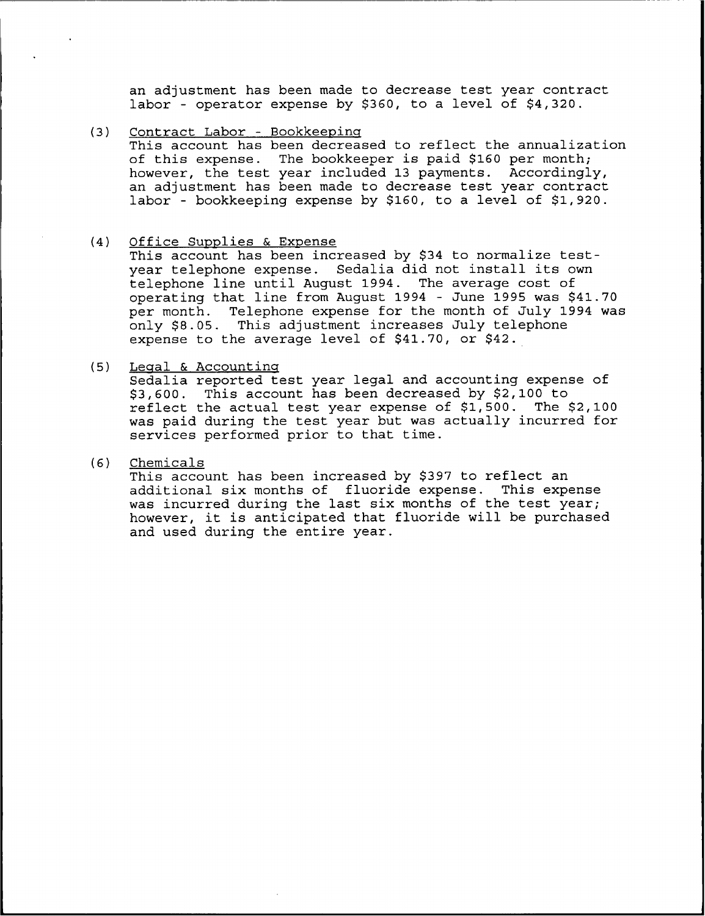an adjustment has been made to decrease test year contract labor - operator expense by \$360, to a level of \$4,320.

- (3) Contract Labor Bookkeeping This account has been decreased to reflect the annualization of this expense. The bookkeeper is paid \$160 per month; however, the test year included 13 payments. Accordingly, an adjustment has been made to decrease test year contract labor - bookkeeping expense by \$160, to a level of \$1,920.
- $(4)$  Office Supplies & Expense
	- This account has been increased by \$34 to normalize testyear telephone expense. Sedalia did not install its own telephone line until August 1994. The average cost of operating that line from August 1994 - June 1995 was \$41.70<br>per month. Telephone expense for the month of July 1994 was Telephone expense for the month of July 1994 was only \$8.05. This adjustment increases July telephone expense to the average level of \$41.70, or \$42.
- (5) Legal & Accounting

Sedalia reported test year legal and accounting expense of \$3,600. This account has been decreased by \$2,100 to<br>reflect the actual test year expense of \$1,500. The \$2,100 reflect the actual test year expense of  $$1,500.$ was paid during the test year but was actually incurred for services performed prior to that time.

(6) Chemicals

This account has been increased by \$397 to reflect an additional six months of fluoride expense. This expense was incurred during the last six months of the test year; however, it is anticipated that fluoride will be purchased and used during the entire year.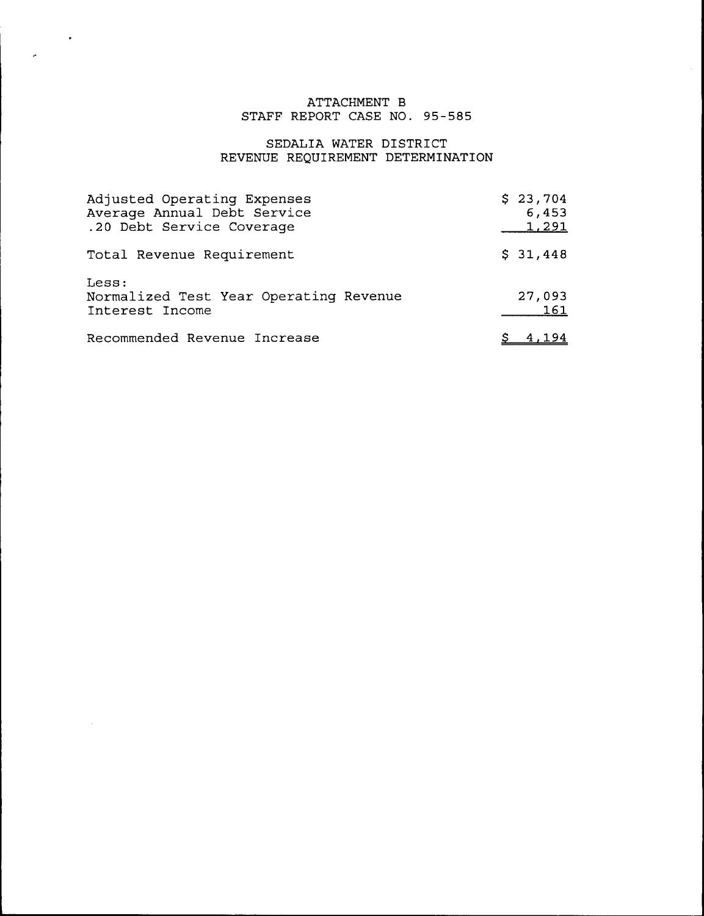# ATTACHMENT B STAFF REPORT CASE NO. 95-585

 $\sim 100$ 

 $\sim$   $\sim$ 

# SEDALIA MATER DISTRICT REVENUE REQUIREMENT DETERMINATION

| Adjusted Operating Expenses<br>Average Annual Debt Service<br>.20 Debt Service Coverage | \$23,704<br>6,453<br>1,291 |
|-----------------------------------------------------------------------------------------|----------------------------|
| Total Revenue Requirement                                                               | \$31,448                   |
| Less:<br>Normalized Test Year Operating Revenue<br>Interest Income                      | 27,093<br>161              |
| Recommended Revenue Increase                                                            |                            |